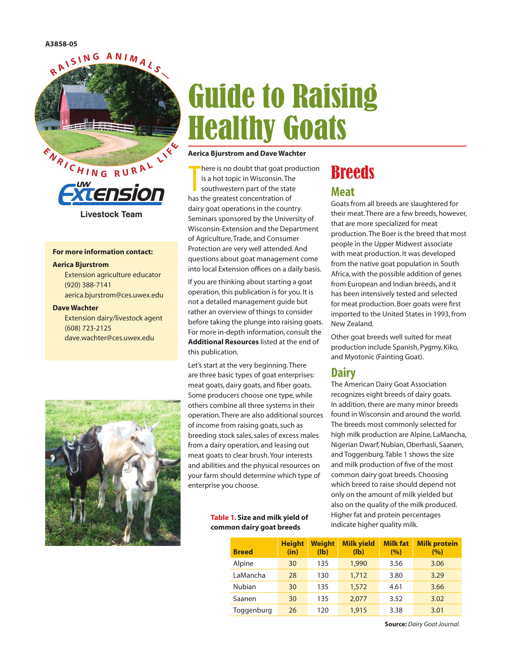



#### **For more information contact:**

#### **Aerica Bjurstrom**

Extension agriculture educator (920) 388-7141 aerica.bjurstrom@ces.uwex.edu

#### **Dave Wachter**

Extension dairy/livestock agent (608) 723-2125 dave.wachter@ces.uwex.edu



# Guide to Raising Healthy Goats

#### **Aerica Bjurstrom and Dave Wachter**

There is no doubt that goat provision.<br>The southwestern part of the state<br>has the greatest concentration of here is no doubt that goat production is a hot topic in Wisconsin. The southwestern part of the state dairy goat operations in the country. Seminars sponsored by the University of Wisconsin-Extension and the Department of Agriculture, Trade, and Consumer Protection are very well attended. And questions about goat management come into local Extension offices on a daily basis.

If you are thinking about starting a goat operation, this publication is for you. It is not a detailed management guide but rather an overview of things to consider before taking the plunge into raising goats. For more in-depth information, consult the **Additional Resources** listed at the end of this publication.

Let's start at the very beginning. There are three basic types of goat enterprises: meat goats, dairy goats, and fiber goats. Some producers choose one type, while others combine all three systems in their operation. There are also additional sources of income from raising goats, such as breeding stock sales, sales of excess males from a dairy operation, and leasing out meat goats to clear brush. Your interests and abilities and the physical resources on your farm should determine which type of enterprise you choose.

#### **Table 1. Size and milk yield of common dairy goat breeds**

## **Breeds**

#### **Meat**

Goats from all breeds are slaughtered for their meat. There are a few breeds, however, that are more specialized for meat production. The Boer is the breed that most people in the Upper Midwest associate with meat production. It was developed from the native goat population in South Africa, with the possible addition of genes from European and Indian breeds, and it has been intensively tested and selected for meat production. Boer goats were first imported to the United States in 1993, from New Zealand.

Other goat breeds well suited for meat production include Spanish, Pygmy, Kiko, and Myotonic (Fainting Goat).

#### **Dairy**

The American Dairy Goat Association recognizes eight breeds of dairy goats. In addition, there are many minor breeds found in Wisconsin and around the world. The breeds most commonly selected for high milk production are Alpine, LaMancha, Nigerian Dwarf, Nubian, Oberhasli, Saanen, and Toggenburg. Table 1 shows the size and milk production of five of the most common dairy goat breeds. Choosing which breed to raise should depend not only on the amount of milk yielded but also on the quality of the milk produced. Higher fat and protein percentages indicate higher quality milk.

| <b>Breed</b>  | <b>Height</b><br>(in) | <b>Weight</b><br>$(\mathbf{I} \mathbf{b})$ | <b>Milk yield</b><br>$(\mathbf{I} \mathbf{b})$ | <b>Milk fat</b><br>(%) | <b>Milk protein</b><br>(%) |
|---------------|-----------------------|--------------------------------------------|------------------------------------------------|------------------------|----------------------------|
| Alpine        | 30                    | 135                                        | 1,990                                          | 3.56                   | 3.06                       |
| LaMancha      | 28                    | 130                                        | 1,712                                          | 3.80                   | 3.29                       |
| <b>Nubian</b> | 30                    | 135                                        | 1,572                                          | 4.61                   | 3.66                       |
| Saanen        | 30                    | 135                                        | 2.077                                          | 3.52                   | 3.02                       |
| Toggenburg    | 26                    | 120                                        | 1,915                                          | 3.38                   | 3.01                       |

**Source:** *Dairy Goat Journal.*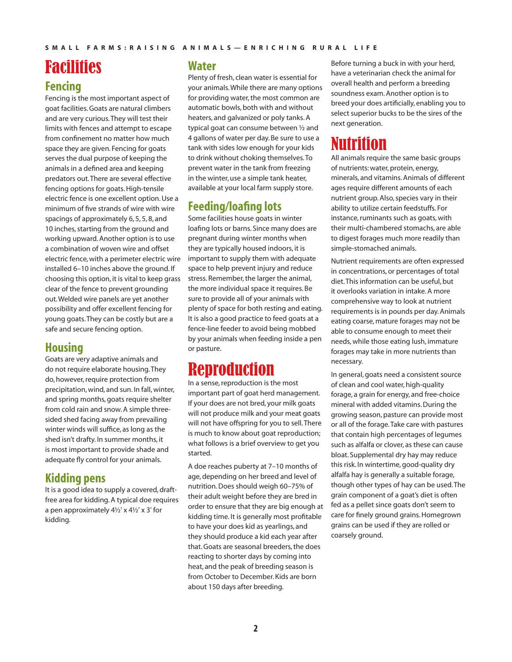## Facilities

### **Fencing**

Fencing is the most important aspect of goat facilities. Goats are natural climbers and are very curious. They will test their limits with fences and attempt to escape from confinement no matter how much space they are given. Fencing for goats serves the dual purpose of keeping the animals in a defined area and keeping predators out. There are several effective fencing options for goats. High-tensile electric fence is one excellent option. Use a minimum of five strands of wire with wire spacings of approximately 6, 5, 5, 8, and 10 inches, starting from the ground and working upward. Another option is to use a combination of woven wire and offset electric fence, with a perimeter electric wire installed 6–10 inches above the ground. If choosing this option, it is vital to keep grass clear of the fence to prevent grounding out. Welded wire panels are yet another possibility and offer excellent fencing for young goats. They can be costly but are a safe and secure fencing option.

### **Housing**

Goats are very adaptive animals and do not require elaborate housing. They do, however, require protection from precipitation, wind, and sun. In fall, winter, and spring months, goats require shelter from cold rain and snow. A simple threesided shed facing away from prevailing winter winds will suffice, as long as the shed isn't drafty. In summer months, it is most important to provide shade and adequate fly control for your animals.

### **Kidding pens**

It is a good idea to supply a covered, draftfree area for kidding. A typical doe requires a pen approximately 4½' x 4½' x 3' for kidding.

#### **Water**

Plenty of fresh, clean water is essential for your animals. While there are many options for providing water, the most common are automatic bowls, both with and without heaters, and galvanized or poly tanks. A typical goat can consume between ½ and 4 gallons of water per day. Be sure to use a tank with sides low enough for your kids to drink without choking themselves. To prevent water in the tank from freezing in the winter, use a simple tank heater, available at your local farm supply store.

### **Feeding/loafing lots**

Some facilities house goats in winter loafing lots or barns. Since many does are pregnant during winter months when they are typically housed indoors, it is important to supply them with adequate space to help prevent injury and reduce stress. Remember, the larger the animal, the more individual space it requires. Be sure to provide all of your animals with plenty of space for both resting and eating. It is also a good practice to feed goats at a fence-line feeder to avoid being mobbed by your animals when feeding inside a pen or pasture.

### Reproduction

In a sense, reproduction is the most important part of goat herd management. If your does are not bred, your milk goats will not produce milk and your meat goats will not have offspring for you to sell. There is much to know about goat reproduction; what follows is a brief overview to get you started.

A doe reaches puberty at 7–10 months of age, depending on her breed and level of nutrition. Does should weigh 60–75% of their adult weight before they are bred in order to ensure that they are big enough at kidding time. It is generally most profitable to have your does kid as yearlings, and they should produce a kid each year after that. Goats are seasonal breeders, the does reacting to shorter days by coming into heat, and the peak of breeding season is from October to December. Kids are born about 150 days after breeding.

Before turning a buck in with your herd, have a veterinarian check the animal for overall health and perform a breeding soundness exam. Another option is to breed your does artificially, enabling you to select superior bucks to be the sires of the next generation.

### Nutrition

All animals require the same basic groups of nutrients: water, protein, energy, minerals, and vitamins. Animals of different ages require different amounts of each nutrient group. Also, species vary in their ability to utilize certain feedstuffs. For instance, ruminants such as goats, with their multi-chambered stomachs, are able to digest forages much more readily than simple-stomached animals.

Nutrient requirements are often expressed in concentrations, or percentages of total diet. This information can be useful, but it overlooks variation in intake. A more comprehensive way to look at nutrient requirements is in pounds per day. Animals eating coarse, mature forages may not be able to consume enough to meet their needs, while those eating lush, immature forages may take in more nutrients than necessary.

In general, goats need a consistent source of clean and cool water, high-quality forage, a grain for energy, and free-choice mineral with added vitamins. During the growing season, pasture can provide most or all of the forage. Take care with pastures that contain high percentages of legumes such as alfalfa or clover, as these can cause bloat. Supplemental dry hay may reduce this risk. In wintertime, good-quality dry alfalfa hay is generally a suitable forage, though other types of hay can be used. The grain component of a goat's diet is often fed as a pellet since goats don't seem to care for finely ground grains. Homegrown grains can be used if they are rolled or coarsely ground.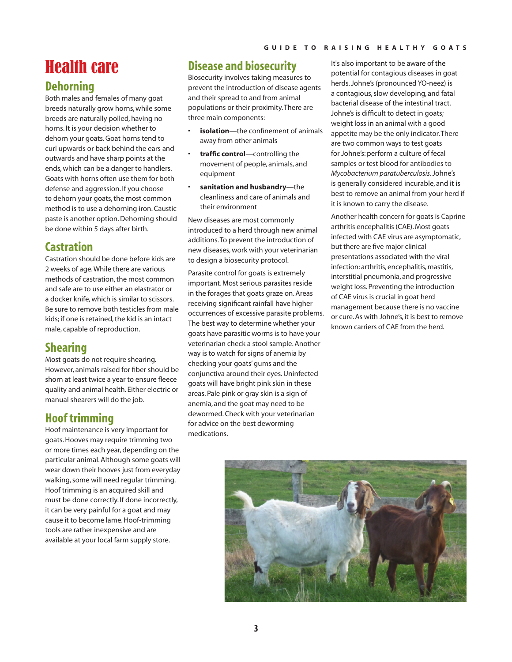## Health care

### **Dehorning**

Both males and females of many goat breeds naturally grow horns, while some breeds are naturally polled, having no horns. It is your decision whether to dehorn your goats. Goat horns tend to curl upwards or back behind the ears and outwards and have sharp points at the ends, which can be a danger to handlers. Goats with horns often use them for both defense and aggression. If you choose to dehorn your goats, the most common method is to use a dehorning iron. Caustic paste is another option. Dehorning should be done within 5 days after birth.

### **Castration**

Castration should be done before kids are 2 weeks of age. While there are various methods of castration, the most common and safe are to use either an elastrator or a docker knife, which is similar to scissors. Be sure to remove both testicles from male kids; if one is retained, the kid is an intact male, capable of reproduction.

### **Shearing**

Most goats do not require shearing. However, animals raised for fiber should be shorn at least twice a year to ensure fleece quality and animal health. Either electric or manual shearers will do the job.

### **Hoof trimming**

Hoof maintenance is very important for goats. Hooves may require trimming two or more times each year, depending on the particular animal. Although some goats will wear down their hooves just from everyday walking, some will need regular trimming. Hoof trimming is an acquired skill and must be done correctly. If done incorrectly, it can be very painful for a goat and may cause it to become lame. Hoof-trimming tools are rather inexpensive and are available at your local farm supply store.

### **Disease and biosecurity**

Biosecurity involves taking measures to prevent the introduction of disease agents and their spread to and from animal populations or their proximity. There are three main components:

- **isolation**—the confinement of animals away from other animals
- **traffic control**—controlling the movement of people, animals, and equipment
- **sanitation and husbandry**—the cleanliness and care of animals and their environment

New diseases are most commonly introduced to a herd through new animal additions. To prevent the introduction of new diseases, work with your veterinarian to design a biosecurity protocol.

Parasite control for goats is extremely important. Most serious parasites reside in the forages that goats graze on. Areas receiving significant rainfall have higher occurrences of excessive parasite problems. The best way to determine whether your goats have parasitic worms is to have your veterinarian check a stool sample. Another way is to watch for signs of anemia by checking your goats' gums and the conjunctiva around their eyes. Uninfected goats will have bright pink skin in these areas. Pale pink or gray skin is a sign of anemia, and the goat may need to be dewormed. Check with your veterinarian for advice on the best deworming medications.

It's also important to be aware of the potential for contagious diseases in goat herds. Johne's (pronounced YO-neez) is a contagious, slow developing, and fatal bacterial disease of the intestinal tract. Johne's is difficult to detect in goats; weight loss in an animal with a good appetite may be the only indicator. There are two common ways to test goats for Johne's: perform a culture of fecal samples or test blood for antibodies to *Mycobacterium paratuberculosis*. Johne's is generally considered incurable, and it is best to remove an animal from your herd if it is known to carry the disease.

Another health concern for goats is Caprine arthritis encephalitis (CAE). Most goats infected with CAE virus are asymptomatic, but there are five major clinical presentations associated with the viral infection: arthritis, encephalitis, mastitis, interstitial pneumonia, and progressive weight loss. Preventing the introduction of CAE virus is crucial in goat herd management because there is no vaccine or cure. As with Johne's, it is best to remove known carriers of CAE from the herd.